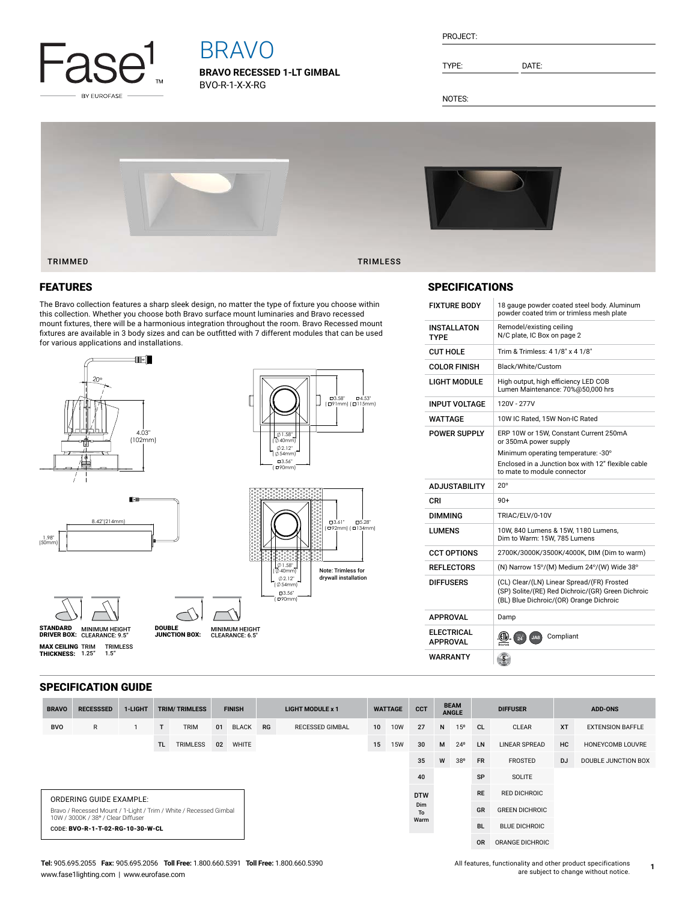

# BRAVO

**BRAVO RECESSED 1-LT GIMBAL** BVO-R-1-X-X-RG

| PROJECT: |
|----------|
|----------|

TYPE: DATE:

NOTES:



### FEATURES

The Bravo collection features a sharp sleek design, no matter the type of fixture you choose within this collection. Whether you choose both Bravo surface mount luminaries and Bravo recessed mount fixtures, there will be a harmonious integration throughout the room. Bravo Recessed mount fixtures are available in 3 body sizes and can be outfitted with 7 different modules that can be used for various applications and installations.



### SPECIFICATIONS

| <b>FIXTURE BODY</b>                  | 18 gauge powder coated steel body. Aluminum<br>powder coated trim or trimless mesh plate                                                   |
|--------------------------------------|--------------------------------------------------------------------------------------------------------------------------------------------|
| <b>INSTALLATON</b><br>TYPF           | Remodel/existing ceiling<br>N/C plate, IC Box on page 2                                                                                    |
| <b>CUT HOLE</b>                      | Trim & Trimless: 4 1/8" x 4 1/8"                                                                                                           |
| COLOR FINISH                         | Black/White/Custom                                                                                                                         |
| LIGHT MODULE                         | High output, high efficiency LED COB<br>Lumen Maintenance: 70%@50,000 hrs                                                                  |
| INPUT VOLTAGE                        | 120V - 277V                                                                                                                                |
| WATTAGE                              | 10W IC Rated, 15W Non-IC Rated                                                                                                             |
| <b>POWER SUPPLY</b>                  | ERP 10W or 15W, Constant Current 250mA<br>or 350mA power supply                                                                            |
|                                      | Minimum operating temperature: -30°                                                                                                        |
|                                      | Enclosed in a Junction box with 12" flexible cable<br>to mate to module connector                                                          |
| <b>ADJUSTABILITY</b>                 | $20^{\circ}$                                                                                                                               |
| CRI                                  | $90+$                                                                                                                                      |
| <b>DIMMING</b>                       | TRIAC/ELV/0-10V                                                                                                                            |
| LUMENS                               | 10W, 840 Lumens & 15W, 1180 Lumens,                                                                                                        |
|                                      | Dim to Warm: 15W, 785 Lumens                                                                                                               |
| <b>CCT OPTIONS</b>                   | 2700K/3000K/3500K/4000K, DIM (Dim to warm)                                                                                                 |
| <b>REFLECTORS</b>                    | (N) Narrow 15°/(M) Medium 24°/(W) Wide 38°                                                                                                 |
| <b>DIFFUSERS</b>                     | (CL) Clear/(LN) Linear Spread/(FR) Frosted<br>(SP) Solite/(RE) Red Dichroic/(GR) Green Dichroic<br>(BL) Blue Dichroic/(OR) Orange Dichroic |
| <b>APPROVAL</b>                      | Damp                                                                                                                                       |
| <b>ELECTRICAL</b><br><b>APPROVAL</b> | Compliant<br>œш<br>$\overline{24}$<br>JAB                                                                                                  |

### SPECIFICATION GUIDE

| <b>BRAVO</b>                                                                                            | <b>RECESSSED</b>                 | 1-LIGHT | <b>TRIM/TRIMLESS</b> |                 | <b>FINISH</b> |              | <b>LIGHT MODULE x 1</b> |                        | <b>WATTAGE</b>  |            | <b>CCT</b> | <b>BEAM</b><br><b>ANGLE</b> |              | <b>DIFFUSER</b>       |                      | <b>ADD-ONS</b> |                         |
|---------------------------------------------------------------------------------------------------------|----------------------------------|---------|----------------------|-----------------|---------------|--------------|-------------------------|------------------------|-----------------|------------|------------|-----------------------------|--------------|-----------------------|----------------------|----------------|-------------------------|
| <b>BVO</b>                                                                                              | $\mathsf{R}$                     |         | T                    | <b>TRIM</b>     | 01            | <b>BLACK</b> | <b>RG</b>               | <b>RECESSED GIMBAL</b> | 10 <sup>1</sup> | <b>10W</b> | 27         | N                           | $15^{\circ}$ | - CL                  | <b>CLEAR</b>         | <b>XT</b>      | <b>EXTENSION BAFFLE</b> |
|                                                                                                         |                                  |         | TL.                  | <b>TRIMLESS</b> | 02            | <b>WHITE</b> |                         |                        | 15              | <b>15W</b> | 30         | M                           | $24^{\circ}$ | LN                    | <b>LINEAR SPREAD</b> | <b>HC</b>      | HONEYCOMB LOUVRE        |
|                                                                                                         |                                  |         |                      |                 |               |              |                         |                        |                 |            | 35         | W                           | 38°          | <b>FR</b>             | FROSTED              | <b>DJ</b>      | DOUBLE JUNCTION BOX     |
|                                                                                                         |                                  |         |                      |                 |               |              |                         |                        |                 |            | 40         |                             |              | SP                    | SOLITE               |                |                         |
| ORDERING GUIDE EXAMPLE:                                                                                 |                                  |         |                      |                 |               |              |                         |                        |                 |            | <b>DTW</b> |                             |              | <b>RE</b>             | <b>RED DICHROIC</b>  |                |                         |
| Bravo / Recessed Mount / 1-Light / Trim / White / Recessed Gimbal<br>10W / 3000K / 38° / Clear Diffuser |                                  |         |                      |                 |               |              |                         |                        |                 | Dim<br>To  |            |                             | <b>GR</b>    | <b>GREEN DICHROIC</b> |                      |                |                         |
|                                                                                                         | CODE: BVO-R-1-T-02-RG-10-30-W-CL |         |                      |                 |               |              |                         |                        |                 |            | Warm       |                             |              | <b>BL</b>             | <b>BLUE DICHROIC</b> |                |                         |
|                                                                                                         |                                  |         |                      |                 |               |              |                         |                        |                 |            |            |                             |              | <b>OR</b>             | ORANGE DICHROIC      |                |                         |

**1**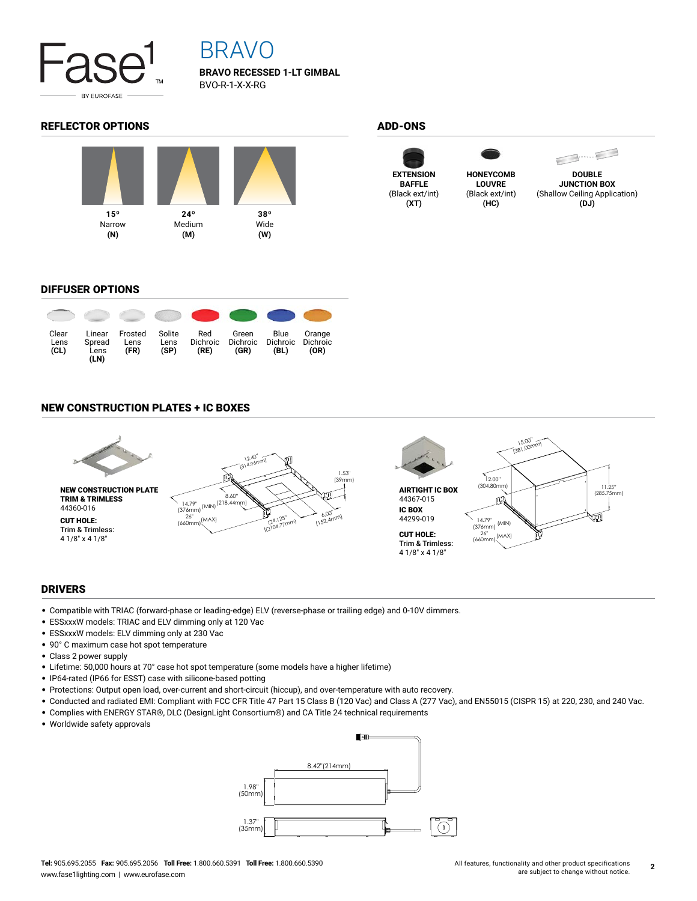

## BRAVO

**BRAVO RECESSED 1-LT GIMBAL** BVO-R-1-X-X-RG

### REFLECTOR OPTIONS ADD-ONS









**DOUBLE JUNCTION BOX** (Shallow Ceiling Application) **(DJ)**

### DIFFUSER OPTIONS



### NEW CONSTRUCTION PLATES + IC BOXES



### DRIVERS

- Compatible with TRIAC (forward-phase or leading-edge) ELV (reverse-phase or trailing edge) and 0-10V dimmers.
- ESSxxxW models: TRIAC and ELV dimming only at 120 Vac
- ESSxxxW models: ELV dimming only at 230 Vac
- 90° C maximum case hot spot temperature
- Class 2 power supply
- Lifetime: 50,000 hours at 70° case hot spot temperature (some models have a higher lifetime)
- IP64-rated (IP66 for ESST) case with silicone-based potting
- Protections: Output open load, over-current and short-circuit (hiccup), and over-temperature with auto recovery.
- Conducted and radiated EMI: Compliant with FCC CFR Title 47 Part 15 Class B (120 Vac) and Class A (277 Vac), and EN55015 (CISPR 15) at 220, 230, and 240 Vac.
- Complies with ENERGY STAR®, DLC (DesignLight Consortium®) and CA Title 24 technical requirements
- Worldwide safety approvals